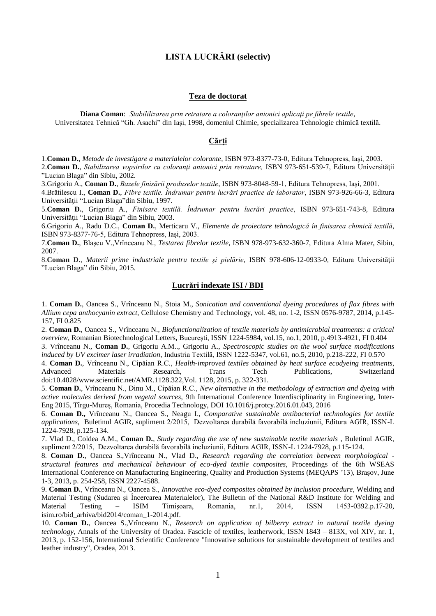# **LISTA LUCRĂRI (selectiv)**

#### **Teza de doctorat**

**Diana Coman**: *Stabililizarea prin retratare a coloranţilor anionici aplicaţi pe fibrele textile*, Universitatea Tehnică "Gh. Asachi" din Iaşi, 1998, domeniul Chimie, specializarea Tehnologie chimică textilă.

#### **Cărți**

1.**Coman D.**, *Metode de investigare a materialelor colorante*, ISBN 973-8377-73-0, Editura Tehnopress, Iaşi, 2003. 2.**Coman D.**, *Stabilizarea vopsirilor cu coloranţi anionici prin retratare,* ISBN 973-651-539-7, Editura Universităţii "Lucian Blaga" din Sibiu, 2002.

3.Grigoriu A., **Coman D.**, *Bazele finisării produselor textile*, ISBN 973-8048-59-1, Editura Tehnopress, Iaşi, 2001.

4.Brătilescu I., **Coman D.**, *Fibre textile. Îndrumar pentru lucrări practice de laborator*, ISBN 973-926-66-3, Editura Universităţii "Lucian Blaga"din Sibiu, 1997.

5.**Coman D.**, Grigoriu A., *Finisare textilă. Îndrumar pentru lucrări practice*, ISBN 973-651-743-8, Editura Universităţii "Lucian Blaga" din Sibiu, 2003.

6.Grigoriu A., Radu D.C., **Coman D.**, Merticaru V., *Elemente de proiectare tehnologică în finisarea chimică textilă*, ISBN 973-8377-76-5, Editura Tehnopress, Iaşi, 2003.

7.**Coman D.**, Blaşcu V.,Vrînceanu N*., Testarea fibrelor textile*, ISBN 978-973-632-360-7, Editura Alma Mater, Sibiu, 2007.

8.**Coman D.**, *Materii prime industriale pentru textile și pielărie*, ISBN 978-606-12-0933-0, Editura Universităţii "Lucian Blaga" din Sibiu, 2015.

# **Lucrări indexate ISI / BDI**

1. **Coman D.**, Oancea S., Vrînceanu N., Stoia M., *Sonication and conventional dyeing procedures of flax fibres with Allium cepa anthocyanin extract*, Cellulose Chemistry and Technology, vol. 48, no. 1-2, ISSN 0576-9787, 2014, p.145- 157, FI 0.825

2. **Coman D.**, Oancea S., Vrînceanu N., *Biofunctionalization of textile materials by antimicrobial treatments: a critical overview,* Romanian Biotechnological Letters**,** Bucureşti, ISSN 1224-5984, vol.15, no.1, 2010, p.4913-4921, FI 0.404

3. Vrînceanu N., **Coman D.**, Grigoriu A.M.., Grigoriu A., *Spectroscopic studies on the wool surface modifications induced by UV excimer laser irradiation*, Industria Textilă, ISSN 1222-5347, vol.61, no.5, 2010, p.218-222, FI 0.570

4. **Coman D.**, Vrînceanu N., Cipăian R.C., *Health-improved textiles obtained by heat surface ecodyeing treatments*, Advanced Materials Research, Trans Tech Publications, Switzerland doi:10.4028/www.scientific.net/AMR.1128.322*,*Vol. 1128, 2015, p. 322-331.

5. **Coman D.**, Vrînceanu N., Dinu M., Cipăian R.C., *New alternative in the methodology of extraction and dyeing with active molecules derived from vegetal sources*, 9th International Conference Interdisciplinarity in Engineering, Inter-Eng 2015, Tîrgu-Mureș, Romania, Procedia Technology, DOI 10.1016/j.protcy.2016.01.043, 2016

6. **Coman D.,** Vrînceanu N., Oancea S., Neagu I., *Comparative sustainable antibacterial technologies for textile applications*, Buletinul AGIR, supliment 2/2015, Dezvoltarea durabilă favorabilă incluziunii, Editura AGIR, ISSN-L 1224-7928, p.125-134.

7. Vlad D., Coldea A.M., **Coman D.**, *Study regarding the use of new sustainable textile materials* , Buletinul AGIR, supliment 2/2015, Dezvoltarea durabilă favorabilă incluziunii, Editura AGIR, ISSN-L 1224-7928, p.115-124.

8. **Coman D.**, Oancea S.,Vrînceanu N., Vlad D., *Research regarding the correlation between morphological structural features and mechanical behaviour of eco-dyed textile composites*, Proceedings of the 6th WSEAS International Conference on Manufacturing Engineering, Quality and Production Systems (MEQAPS '13), Braşov, June 1-3, 2013, p. 254-258, ISSN 2227-4588.

9. **Coman D.**, Vrînceanu N., Oancea S., *Innovative eco-dyed composites obtained by inclusion procedure,* Welding and Material Testing (Sudarea şi Încercarea Materialelor), The Bulletin of the National R&D Institute for Welding and Material Testing – ISIM Timişoara, Romania, nr.1, 2014, ISSN 1453-0392.p.17-20, isim.ro/bid\_arhiva/bid2014/coman\_1-2014.pdf.

10. **Coman D.**, Oancea S.,Vrînceanu N., *Research on application of bilberry extract in natural textile dyeing technology*, Annals of the University of Oradea. Fascicle of textiles, leatherwork, ISSN 1843 – 813X, vol XIV, nr. 1, 2013, p. 152-156, International Scientific Conference "Innovative solutions for sustainable development of textiles and leather industry", Oradea, 2013.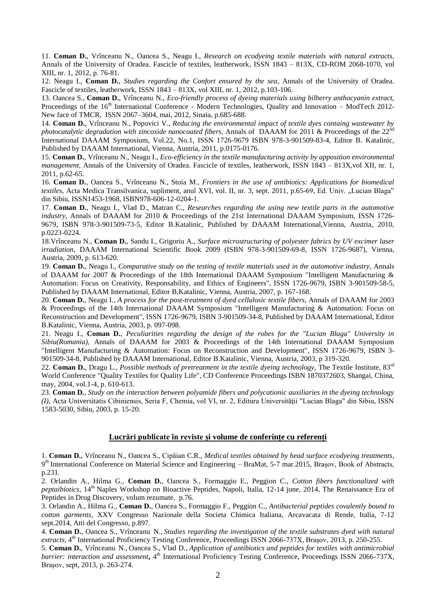11. **Coman D.**, Vrînceanu N., Oancea S., Neagu I., *Research on ecodyeing textile materials with natural extracts,*  Annals of the University of Oradea. Fascicle of textiles, leatherwork, ISSN 1843 – 813X, CD-ROM 2068-1070, vol XIII, nr. 1, 2012, p. 76-81.

12. Neagu I., **Coman D.**, *Studies regarding the Confort ensured by the sea*, Annals of the University of Oradea. Fascicle of textiles, leatherwork, ISSN 1843 – 813X, vol XIII, nr. 1, 2012, p.103-106.

13. Oancea S., **Coman D.**, Vrînceanu N., *Eco-friendly process of dyeing materials using bilberry anthocyanin extract,*  Proceedings of the 16<sup>th</sup> International Conference - Modern Technologies, Quality and Innovation – ModTech 2012-New face of TMCR, ISSN 2067–3604, mai, 2012, Sinaia, p.685-688.

14. **Coman D.**, Vrînceanu N., Popovici V., *Reducing the environmental impact of textile dyes containg wastewater by photocatalytic degradation with zincoxide nanocoated fibers, Annals of DAAAM for 2011 & Proceedings of the 22<sup>nd</sup>* International DAAAM Symposium, Vol.22, No.1, ISSN 1726-9679 ISBN 978-3-901509-83-4, Editor B. Katalinic, Published by DAAAM International, Vienna, Austria, 2011, p.0175-0176.

15. **Coman D.**, Vrînceanu N., Neagu I., *[Eco-efficiency in the textile manufacturing activity by apposition environmental](http://textile.webhost.uoradea.ro/Annals/Vol%20XII-Nr1-2011.pdf)  management*, Annals of the University of Oradea. Fascicle of textiles, leatherwork, ISSN 1843 – 813X, vol XII, nr. 1, 2011, p.62-65.

16. **Coman D.**, Oancea S., Vrînceanu N., Stoia M., *Frontiers in the use of antibiotics: Applications for biomedical textiles*, Acta Medica Transilvanica, supliment, anul XVI, vol. II, nr. 3, sept. 2011, p.65-69, Ed. Univ. "Lucian Blaga" din Sibiu, ISSN1453-1968, ISBN978-606-12-0204-1.

17. **Coman D.**, Neagu I., Vlad D.*,* Matran C., *Researches regarding the using new textile parts in the automotive industry,* Annals of DAAAM for 2010 & Proceedings of the 21st International DAAAM Symposium, ISSN 1726- 9679, ISBN 978-3-901509-73-5, Editor B.Katalinic, Published by DAAAM International,Vienna, Austria, 2010, p.0223-0224.

18.Vrînceanu N., **Coman D.**, Sandu I., Grigoriu A., *Surface microstructuring of polyester fabrics by UV excimer laser irradiation*, DAAAM International Scientific Book 2009 (ISBN 978-3-901509-69-8, ISSN 1726-9687), Vienna, Austria, 2009, p. 613-620.

19. **Coman D.**, Neagu I., *Comparative study on the testing of textile materials used in the automotive industry,* Annals of DAAAM for 2007 & Proceedings of the 18th International DAAAM Symposium "Intelligent Manufacturing & Automation: Focus on Creativity, Responsability, and Ethics of Engineers", ISSN 1726-9679, ISBN 3-901509-58-5, Published by DAAAM International, Editor B.Katalinic, Vienna, Austria, 2007, p. 167-168.

20. **Coman D.**, Neagu I., *A process for the post-treatment of dyed cellulosic textile fibers*, Annals of DAAAM for 2003 & Proceedings of the 14th International DAAAM Symposium "Intelligent Manufacturing & Automation: Focus on Reconstruction and Development", ISSN 1726-9679, ISBN 3-901509-34-8, Published by DAAAM International, Editor B.Katalinic, Vienna, Austria, 2003, p. 097-098.

21. Neagu I., **Coman D.**, *Peculiarities regarding the design of the robes for the "Lucian Blaga" University in Sibiu(Romania),* Annals of DAAAM for 2003 & Proceedings of the 14th International DAAAM Symposium "Intelligent Manufacturing & Automation: Focus on Reconstruction and Development", ISSN 1726-9679, ISBN 3- 901509-34-8, Published by DAAAM International, Editor B.Katalinic, Vienna, Austria, 2003, p 319-320.

22. **Coman D.**, Dragu L., *Possible methods of pretreatment in the textile dyeing technology,* The Textile Institute, 83rd World Conference "Quality Textiles for Quality Life", CD Conference Proceedings ISBN 1870372603, Shangai, China, may, 2004, vol.1-4, p. 610-613.

23. **Coman D.**, *Study on the interaction between polyamide fibers and polycationic auxiliaries in the dyeing technology (I)*, Acta Universitatis Cibiniensis, Seria F, Chemia, vol VI, nr. 2, Editura Universităţii "Lucian Blaga" din Sibiu, ISSN 1583-5030, Sibiu, 2003, p. 15-20.

# **Lucrări publicate în reviste și volume de conferințe cu referenți**

1. **Coman D.**, Vrînceanu N., Oancea S., Cipăian C.R., *Medical textiles obtained by head surface ecodyeing treatments*, 9<sup>th</sup> International Conference on Material Science and Engineering – BraMat, 5-7 mar.2015, Brașov, Book of Abstracts, p.231.

2. Orlandin A., Hilma G., **Coman D.**, Oancea S., Formaggio E., Peggion C., *Cotton fibers functionalized with peptaibiotics*, 14<sup>th</sup> Naples Workshop on Bioactive Peptides, Napoli, Italia, 12-14 june, 2014, The Renaissance Era of Peptides in Drug Discovery, volum rezumate, p.76.

3. Orlandin A., Hilma G., **Coman D.**, Oancea S., Formaggio F., Peggion C., *Antibacterial peptides covalently bound to cotton garments*, XXV Congresso Nazionale della Societa Chimica Italiana, Arcavacata di Rende, Italia, 7-12 sept.2014, Atti del Congresso, p.897.

4. **Coman D.**, Oancea S., Vrînceanu N., *Studies regarding the investigation of the textile substrates dyed with natural*  extracts, 4<sup>th</sup> International Proficiency Testing Conference, Proceedings ISSN 2066-737X, Brașov, 2013, p. 250-255.

5. **Coman D.**, Vrînceanu N., Oancea S., Vlad D., *Application of antibiotics and peptides for textiles with antimicrobial*  barrier: interaction and assessment, 4<sup>th</sup> International Proficiency Testing Conference, Proceedings ISSN 2066-737X, Braşov, sept, 2013, p. 263-274.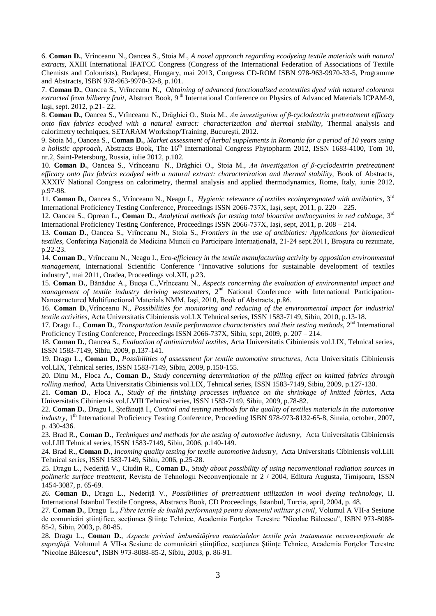6. **Coman D.**, Vrînceanu N., Oancea S., Stoia M., *A novel approach regarding ecodyeing textile materials with natural extracts*, XXIII International IFATCC Congress (Congress of the International Federation of Associations of Textile Chemists and Colourists), Budapest, Hungary, mai 2013, Congress CD-ROM ISBN 978-963-9970-33-5, Programme and Abstracts, ISBN 978-963-9970-32-8, p.101.

7. **Coman D.**, Oancea S., Vrînceanu N., *Obtaining of advanced functionalized ecotextiles dyed with natural colorants extracted from bilberry fruit*, Abstract Book, 9<sup>th</sup> International Conference on Physics of Advanced Materials ICPAM-9, Iaşi, sept. 2012, p.21- 22.

8. **Coman D.**, Oancea S., Vrînceanu N., Drăghici O., Stoia M., *An investigation of β-cyclodextrin pretreatment efficacy onto flax fabrics ecodyed with a natural extract: characterization and thermal stability,* Thermal analysis and calorimetry techniques, SETARAM Workshop/Training, București, 2012.

9. Stoia M., Oancea S., **Coman D.**, *Market assessment of herbal supplements in Romania for a period of 10 years using a holistic approach,* Abstracts Book, The 16<sup>th</sup> International Congress Phytopharm 2012, ISSN 1683-4100, Tom 10, nr.2, Saint-Petersburg, Russia, iulie 2012, p.102.

10. **Coman D.**, Oancea S., Vrînceanu N., Drăghici O., Stoia M., *An investigation of β-cyclodextrin pretreatment efficacy onto flax fabrics ecodyed with a natural extract: characterization and thermal stability, Book of Abstracts,* XXXIV National Congress on calorimetry, thermal analysis and applied thermodynamics, Rome, Italy, iunie 2012, p.97-98.

11. **Coman D.**, Oancea S., Vrînceanu N., Neagu I., *Hygienic relevance of textiles ecoimpregnated with antibiotics,* 3 rd International Proficiency Testing Conference, Proceedings ISSN 2066-737X, Iaşi, sept, 2011, p. 220 – 225.

12. Oancea S., Oprean L., Coman D., *Analytical methods for testing total bioactive anthocyanins in red cabbage*, 3<sup>rd</sup> International Proficiency Testing Conference, Proceedings ISSN 2066-737X, Iaşi, sept, 2011, p. 208 – 214.

13. **Coman D.**, Oancea S., Vrînceanu N., Stoia S., *Frontiers in the use of antibiotics: Applications for biomedical textiles, Conferința Națională de Medicina Muncii cu Participare Internațională, 21-24 sept.2011, Broșura cu rezumate,* p.22-23.

14. **Coman D.***,* Vrînceanu N., Neagu I., *Eco-efficiency in the textile manufacturing activity by apposition environmental management,* International Scientific Conference "Innovative solutions for sustainable development of textiles industry", mai 2011, Oradea, Proceedings vol.XII, p.23.

15. **Coman D.**, Bănăduc A., Bucşa C.,Vrînceanu N., *Aspects concerning the evaluation of environmental impact and*  management of textile industry deriving wastewaters, 2<sup>nd</sup> National Conference with International Participation-Nanostructured Multifunctional Materials NMM, Iaşi, 2010, Book of Abstracts, p.86.

16. **Coman D.**,Vrînceanu N., *Possibilities for monitoring and reducing of the environmental impact for industrial textile activities*, Acta Universitatis Cibiniensis vol.LX Tehnical series, ISSN 1583-7149, Sibiu, 2010, p.13-18.

17. Dragu L., Coman D., *Transportation textile performance characteristics and their testing methods*, 2<sup>nd</sup> International Proficiency Testing Conference, Proceedings ISSN 2066-737X, Sibiu, sept, 2009, p. 207 – 214.

18. **Coman D.**, Oancea S., *Evaluation of antimicrobial textiles,* Acta Universitatis Cibiniensis vol.LIX, Tehnical series, ISSN 1583-7149, Sibiu, 2009, p.137-141.

19. Dragu L., **Coman D.**, *Possibilities of assessment for textile automotive structures,* Acta Universitatis Cibiniensis vol.LIX, Tehnical series, ISSN 1583-7149, Sibiu, 2009, p.150-155.

20. Dinu M., Floca A., **Coman D.**, *Study concerning determination of the pilling effect on knitted fabrics through rolling method,* Acta Universitatis Cibiniensis vol.LIX, Tehnical series, ISSN 1583-7149, Sibiu, 2009, p.127-130.

21. **Coman D.**, Floca A., *Study of the finishing processes influence on the shrinkage of knitted fabrics*, Acta Universitatis Cibiniensis vol.LVIII Tehnical series, ISSN 1583-7149, Sibiu, 2009, p.78-82.

22. **Coman D.**, Dragu l., Ştefănuţă I., *Control and testing methods for the quality of textiles materials in the automotive*  industry, 1<sup>th</sup> International Proficiency Testing Conference, Proceeding ISBN 978-973-8132-65-8, Sinaia, october, 2007, p. 430-436.

23. Brad R., **Coman D.**, *Techniques and methods for the testing of automotive industry*, Acta Universitatis Cibiniensis vol.LIII Tehnical series, ISSN 1583-7149, Sibiu, 2006, p.140-149.

24. Brad R., **Coman D.**, *Incoming quality testing for textile automotive industry*, Acta Universitatis Cibiniensis vol.LIII Tehnical series, ISSN 1583-7149, Sibiu, 2006, p.25-28.

25. Dragu L., Nederiţă V., Ciudin R., **Coman D.**, *Study about possibility of using neconventional radiation sources in polimeric surface treatment*, Revista de Tehnologii Neconvenționale nr 2 / 2004, Editura Augusta, Timișoara, ISSN 1454-3087, p. 65-69.

26. **Coman D.**, Dragu L., Nederiţă V., *Possibilities of pretreatment utilization in wool dyeing technology,* II. International Istanbul Textile Congress, Abstracts Book, CD Proceedings, Istanbul, Turcia, april, 2004, p. 48.

27. **Coman D.**, Dragu L.**,** *Fibre textile de înaltă performanţă pentru domeniul militar şi civil*, Volumul A VII-a Sesiune de comunicări ştiinţifice, secţiunea Ştiinţe Tehnice, Academia Forţelor Terestre "Nicolae Bălcescu", ISBN 973-8088- 85-2, Sibiu, 2003, p. 80-85.

28. Dragu L., **Coman D.**, *Aspecte privind îmbunătăţirea materialelor textile prin tratamente neconvenţionale de suprafaţă,* Volumul A VII-a Sesiune de comunicări ştiinţifice, secţiunea Ştiinţe Tehnice, Academia Forţelor Terestre "Nicolae Bălcescu", ISBN 973-8088-85-2, Sibiu, 2003, p. 86-91.